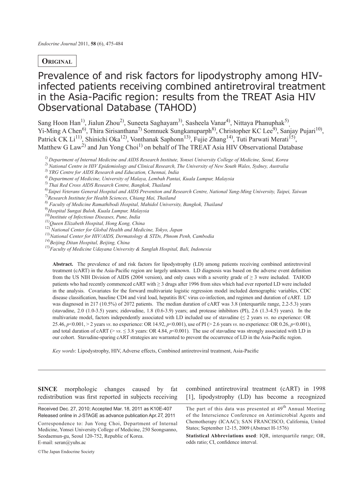# **Original**

# Prevalence of and risk factors for lipodystrophy among HIVinfected patients receiving combined antiretroviral treatment in the Asia-Pacific region: results from the TREAT Asia HIV Observational Database (TAHOD)

Sang Hoon Han<sup>1</sup>, Jialun Zhou<sup>2)</sup>, Suneeta Saghayam<sup>3)</sup>, Sasheela Vanar<sup>4)</sup>, Nittaya Phanuphak<sup>5)</sup> Yi-Ming A Chen<sup>6)</sup>, Thira Sirisanthana<sup>7)</sup> Somnuek Sungkanuparph<sup>8)</sup>, Christopher KC Lee<sup>9)</sup>, Sanjay Pujari<sup>10)</sup>, Patrick CK  $Li<sup>11</sup>$ , Shinichi Oka<sup>12</sup>), Vonthanak Saphonn<sup>13</sup>), Fujie Zhang<sup>14</sup>), Tuti Parwati Merati<sup>15</sup>), Matthew G Law<sup>2)</sup> and Jun Yong Choi<sup>1)</sup> on behalf of The TREAT Asia HIV Observational Database

- *1) Department of Internal Medicine and AIDS Research Institute, Yonsei University College of Medicine, Seoul, Korea*
- *2) National Centre in HIV Epidemiology and Clinical Research, The University of New South Wales, Sydney, Australia*

- *4) Department of Medicine, University of Malaya, Lembah Pantai, Kuala Lumpur, Malaysia*
- *5) Thai Red Cross AIDS Research Centre, Bangkok, Thailand*
- *6)Taipei Veterans General Hospital and AIDS Prevention and Research Centre, National Yang-Ming University, Taipei, Taiwan*
- *7)Research Institute for Health Sciences, Chiang Mai, Thailand*
- *8) Faculty of Medicine Ramathibodi Hospital, Mahidol University, Bangkok, Thailand*
- *9)Hospital Sungai Buloh, Kuala Lumpur, Malaysia*
- *10)Institute of Infectious Diseases, Pune, India*
- *11)Queen Elizabeth Hospital, Hong Kong, China*
- 12) *National Center for Global Health and Medicine, Tokyo, Japan*
- *13)National Center for HIV/AIDS, Dermatology & STDs, Phnom Penh, Cambodia*
- *14)Beijing Ditan Hospital, Beijing, China*
- *15)Faculty of Medicine Udayana University & Sanglah Hospital, Bali, Indonesia*

**Abstract.** The prevalence of and risk factors for lipodystrophy (LD) among patients receiving combined antiretroviral treatment (cART) in the Asia-Pacific region are largely unknown. LD diagnosis was based on the adverse event definition from the US NIH Division of AIDS (2004 version), and only cases with a severity grade of  $\geq$  3 were included. TAHOD patients who had recently commenced cART with ≥ 3 drugs after 1996 from sites which had ever reported LD were included in the analysis. Covariates for the forward multivariate logistic regression model included demographic variables, CDC disease classification, baseline CD4 and viral load, hepatitis B/C virus co-infection, and regimen and duration of cART. LD was diagnosed in 217 (10.5%) of 2072 patients. The median duration of cART was 3.8 (interquartile range, 2.2-5.3) years (stavudine, 2.0 (1.0-3.5) years; zidovudine, 1.8 (0.6-3.9) years; and protease inhibitors (PI), 2.6 (1.3-4.5) years). In the multivariate model, factors independently associated with LD included use of stavudine (≤ 2 years *vs*. no experience: OR 25.46, *p*<0.001, > 2 years *vs*. no experience: OR 14.92, *p*<0.001), use of PI (> 2.6 years *vs*. no experience: OR 0.26, *p*<0.001), and total duration of cART ( $> vs. \le 3.8$  years: OR 4.84,  $p<0.001$ ). The use of stavudine was strongly associated with LD in our cohort. Stavudine-sparing cART strategies are warranted to prevent the occurrence of LD in the Asia-Pacific region.

*Key words*: Lipodystrophy, HIV, Adverse effects, Combined antiretroviral treatment, Asia-Pacific

**SINCE** morphologic changes caused by fat redistribution was first reported in subjects receiving

Received Dec. 27, 2010; Accepted Mar. 18, 2011 as K10E-407 Released online in J-STAGE as advance publication Apr.27, 2011

combined antiretroviral treatment (cART) in 1998 [1], lipodystrophy (LD) has become a recognized

**Statistical Abbreviations used: IOR, interquartile range: OR,** odds ratio; CI, confidence interval.

©The Japan Endocrine Society

*<sup>3)</sup> YRG Centre for AIDS Research and Education, Chennai, India*

Correspondence to: Jun Yong Choi, Department of Internal Medicine, Yonsei University College of Medicine, 250 Seongsanno, Seodaemun-gu, Seoul 120-752, Republic of Korea. E-mail: seran@yuhs.ac

The part of this data was presented at  $49<sup>th</sup>$  Annual Meeting of the Interscience Conference on Antimicrobial Agents and Chemotherapy (ICAAC); SAN FRANCISCO, California, United States; September 12-15, 2009 (Abstract H-1576)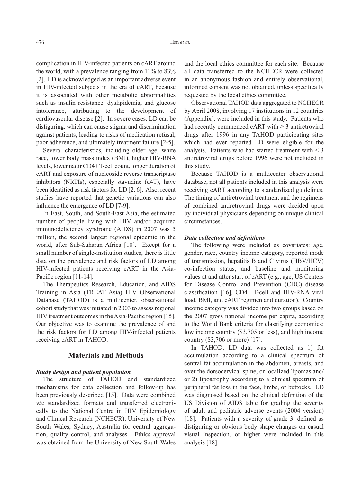complication in HIV-infected patients on cART around the world, with a prevalence ranging from 11% to 83% [2]. LD is acknowledged as an important adverse event in HIV-infected subjects in the era of cART, because it is associated with other metabolic abnormalities such as insulin resistance, dyslipidemia, and glucose intolerance, attributing to the development of cardiovascular disease [2]. In severe cases, LD can be disfiguring, which can cause stigma and discrimination against patients, leading to risks of medication refusal, poor adherence, and ultimately treatment failure [2-5].

Several characteristics, including older age, white race, lower body mass index (BMI), higher HIV-RNA levels, lower nadir CD4+ T-cell count, longer duration of cART and exposure of nucleoside reverse transcriptase inhibitors (NRTIs), especially stavudine (d4T), have been identified as risk factors for LD [2, 6]. Also, recent studies have reported that genetic variations can also influence the emergence of LD [7-9].

In East, South, and South-East Asia, the estimated number of people living with HIV and/or acquired immunodeficiency syndrome (AIDS) in 2007 was 5 million, the second largest regional epidemic in the world, after Sub-Saharan Africa [10]. Except for a small number of single-institution studies, there is little data on the prevalence and risk factors of LD among HIV-infected patients receiving cART in the Asia-Pacific region [11-14].

The Therapeutics Research, Education, and AIDS Training in Asia (TREAT Asia) HIV Observational Database (TAHOD) is a multicenter, observational cohort study that was initiated in 2003 to assess regional HIV treatment outcomes in the Asia-Pacific region [15]. Our objective was to examine the prevalence of and the risk factors for LD among HIV-infected patients receiving cART in TAHOD.

## **Materials and Methods**

#### *Study design and patient population*

The structure of TAHOD and standardized mechanisms for data collection and follow-up has been previously described [15]. Data were combined *via* standardized formats and transferred electronically to the National Centre in HIV Epidemiology and Clinical Research (NCHECR), University of New South Wales, Sydney, Australia for central aggregation, quality control, and analyses. Ethics approval was obtained from the University of New South Wales and the local ethics committee for each site. Because all data transferred to the NCHECR were collected in an anonymous fashion and entirely observational, informed consent was not obtained, unless specifically requested by the local ethics committee.

Observational TAHOD data aggregated to NCHECR by April 2008, involving 17 institutions in 12 countries (Appendix), were included in this study. Patients who had recently commenced cART with  $\geq$  3 antiretroviral drugs after 1996 in any TAHOD participating sites which had ever reported LD were eligible for the analysis. Patients who had started treatment with < 3 antiretroviral drugs before 1996 were not included in this study.

Because TAHOD is a multicenter observational database, not all patients included in this analysis were receiving cART according to standardized guidelines. The timing of antiretroviral treatment and the regimens of combined antiretroviral drugs were decided upon by individual physicians depending on unique clinical circumstances.

#### *Data collection and definitions*

The following were included as covariates: age, gender, race, country income category, reported mode of transmission, hepatitis B and C virus (HBV/HCV) co-infection status, and baseline and monitoring values at and after start of cART (e.g., age, US Centers for Disease Control and Prevention (CDC) disease classification [16], CD4+ T-cell and HIV-RNA viral load, BMI, and cART regimen and duration). Country income category was divided into two groups based on the 2007 gross national income per capita, according to the World Bank criteria for classifying economies: low income country (\$3,705 or less), and high income country (\$3,706 or more) [17].

In TAHOD, LD data was collected as 1) fat accumulation according to a clinical spectrum of central fat accumulation in the abdomen, breasts, and over the dorsocervical spine, or localized lipomas and/ or 2) lipoatrophy according to a clinical spectrum of peripheral fat loss in the face, limbs, or buttocks. LD was diagnosed based on the clinical definition of the US Division of AIDS table for grading the severity of adult and pediatric adverse events (2004 version) [18]. Patients with a severity of grade 3, defined as disfiguring or obvious body shape changes on casual visual inspection, or higher were included in this analysis [18].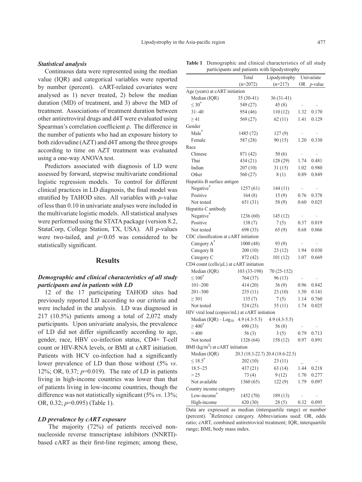#### *Statistical analysis*

Continuous data were represented using the median value (IQR) and categorical variables were reported by number (percent). cART-related covariates were analysed as 1) never treated, 2) below the median duration (MD) of treatment, and 3) above the MD of treatment. Associations of treatment duration between other antiretroviral drugs and d4T were evaluated using Spearman's correlation coefficient ρ. The difference in the number of patients who had an exposure history to both zidovudine (AZT) and d4T among the three groups according to time on AZT treatment was evaluated using a one-way ANOVA test.

Predictors associated with diagnosis of LD were assessed by forward, stepwise multivariate conditional logistic regression models. To control for different clinical practices in LD diagnosis, the final model was stratified by TAHOD sites. All variables with *p*-value of less than 0.10 in univariate analyses were included in the multivariate logistic models. All statistical analyses were performed using the STATA package (version 8.2, StataCorp, College Station, TX, USA). All *p*-values were two-tailed, and  $p<0.05$  was considered to be statistically significant.

### **Results**

# *Demographic and clinical characteristics of all study participants and in patients with LD*

12 of the 17 participating TAHOD sites had previously reported LD according to our criteria and were included in the analysis. LD was diagnosed in 217 (10.5%) patients among a total of 2,072 study participants. Upon univariate analysis, the prevalence of LD did not differ significantly according to age, gender, race, HBV co-infection status, CD4+ T-cell count or HIV-RNA levels, or BMI at cART initiation. Patients with HCV co-infection had a significantly lower prevalence of LD than those without (5% *vs*. 12%; OR, 0.37; *p*=0.019). The rate of LD in patients living in high-income countries was lower than that of patients living in low-income countries, though the difference was not statistically significant (5% *vs*. 13%; OR, 0.32; *p*=0.095) (Table 1).

#### *LD prevalence by cART exposure*

 The majority (72%) of patients received nonnucleoside reverse transcriptase inhibitors (NNRTI) based cART as their first-line regimen; among these,

|                                               | Tutal          | Lipouystrophy                     |           | $UIII$ valiato  |
|-----------------------------------------------|----------------|-----------------------------------|-----------|-----------------|
|                                               | $(n=2072)$     | $(n=217)$                         | <b>OR</b> | <i>p</i> -value |
| Age (years) at cART initiation                |                |                                   |           |                 |
| Median (IQR)                                  | $35(30-41)$    | $36(31-41)$                       |           |                 |
| $\leq 30^*$                                   | 549 (27)       | 45(8)                             |           |                 |
| $31 - 40$                                     | 954 (46)       | 110(12)                           | 1.32      | 0.170           |
| $\geq$ 41                                     | 569 (27)       | 62(11)                            | 1.41      | 0.129           |
| Gender                                        |                |                                   |           |                 |
| Male <sup>*</sup>                             | 1485 (72)      | 127(9)                            |           |                 |
| Female                                        | 587 (28)       | 90(15)                            | 1.20      | 0.330           |
| Race                                          |                |                                   |           |                 |
| Chinese                                       | 871 (42)       | 50(6)                             |           |                 |
| Thai                                          | 434(21)        | 128 (29)                          | 1.74      | 0.481           |
| Indian                                        | 207(10)        | 31(15)                            | 1.02      | 0.980           |
| Other                                         | 560 (27)       | 8(1)                              | 0.89      | 0.849           |
| Hepatitis B surface antigen                   |                |                                   |           |                 |
| Negative*                                     | 1257(61)       | 144(11)                           |           |                 |
| Positive                                      | 164(8)         | 15(9)                             | 0.76      | 0.378           |
| Not tested                                    | 651 (31)       | 58 (9)                            | 0.60      | 0.025           |
| Hepatitis C antibody                          |                |                                   |           |                 |
| Negative*                                     | 1236 (60)      | 145 (12)                          | $\equiv$  |                 |
| Positive                                      | 138(7)         | 7(5)                              | 0.37      | 0.019           |
| Not tested                                    | 698 (33)       | 65(9)                             | 0.68      | 0.066           |
| CDC classification at cART initiation         |                |                                   |           |                 |
| Category A*                                   | 1000(48)       | 93 (9)                            |           |                 |
| Category B                                    | 200(10)        | 23(12)                            | 1.94      | 0.030           |
| Category C                                    | 872 (42)       | 101(12)                           | 1.07      | 0.669           |
| CD4 count (cells/µL) at cART initiation       |                |                                   |           |                 |
| Median (IQR)                                  | 103 (33-198)   | 70 (25-152)                       |           |                 |
| $\leq 100^*$                                  | 764 (37)       | 96(13)                            |           |                 |
| $101 - 200$                                   | 414(20)        | 36(9)                             | 0.96      | 0.842           |
| $201 - 300$                                   | 235(11)        | 23(10)                            | 1.50      | 0.141           |
| $\geq$ 301                                    | 135(7)         | 7(5)                              | 1.14      | 0.760           |
| Not tested                                    | 524(25)        | 55(11)                            | 1.74      | 0.025           |
| HIV viral load (copies/mL) at cART initiation |                |                                   |           |                 |
| Median $(IQR) - Log_{10}$                     | $4.9(4.3-5.5)$ | $4.9(4.3-5.5)$                    |           |                 |
| $\geq$ 400 <sup>*</sup>                       | 690 (33)       | 56(8)                             |           |                 |
| ${}<$ 400                                     | 56(3)          | 3(5)                              | 0.79      | 0.713           |
| Not tested                                    | 1326 (64)      | 158 (12)                          | 0.97      | 0.891           |
| BMI ( $\text{kg/m}^2$ ) at cART initiation    |                |                                   |           |                 |
| Median (IQR)                                  |                | 20.3 (18.3-22.7) 20.4 (18.6-22.5) |           |                 |
| $\leq 18.5^*$                                 | 202 (10)       | 23(11)                            |           |                 |
| $18.5 - 25$                                   | 437 (21)       | 63(14)                            | 1.44      | 0.218           |
| > 25                                          | 73(4)          | 9(12)                             | 1.70      | 0.277           |
| Not available                                 | 1360 (65)      | 122(9)                            | 1.79      | 0.097           |
| Country income category                       |                |                                   |           |                 |
| Low-income <sup>*</sup>                       | 1452 (70)      | 189(13)                           |           |                 |
| High-income                                   | 620 (30)       | 28(5)                             | 0.32      | 0.095           |

Data are expressed as median (interquartile range) or number (percent). \* Reference category. Abbreviations used: OR, odds ratio; cART, combined antiretroviral treatment; IQR, interquartile range; BMI, body mass index.

**Table 1** Demographic and clinical characteristics of all study participants and patients with lipodystrophy

Total Lipodystrophy Univariate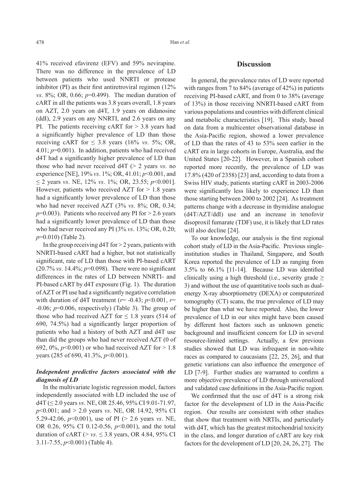41% received efavirenz (EFV) and 59% nevirapine. There was no difference in the prevalence of LD between patients who used NNRTI or protease inhibitor (PI) as their first antiretroviral regimen (12% *vs*. 8%; OR, 0.66; *p*=0.499). The median duration of cART in all the patients was 3.8 years overall, 1.8 years on AZT, 2.0 years on d4T, 1.9 years on didanosine (ddI), 2.9 years on any NNRTI, and 2.6 years on any PI. The patients receiving cART for  $> 3.8$  years had a significantly higher prevalence of LD than those receiving cART for  $\leq$  3.8 years (16% *vs.* 5%; OR, 4.01; *p*=0.001). In addition, patients who had received d4T had a significantly higher prevalence of LD than those who had never received d4T (> 2 years *vs*. no experience [NE], 19% *vs*. 1%; OR, 41.01; *p*<0.001, and ≤ 2 years *vs*. NE, 12% *vs*. 1%; OR, 23.55; *p*<0.001]. However, patients who received AZT for  $> 1.8$  years had a significantly lower prevalence of LD than those who had never received AZT (3% *vs.* 8%; OR, 0.34;  $p=0.003$ ). Patients who received any PI for  $> 2.6$  years had a significantly lower prevalence of LD than those who had never received any PI (3% *vs*. 13%; OR, 0.20; *p*=0.010) (Table 2).

In the group receiving  $d4T$  for  $> 2$  years, patients with NNRTI-based cART had a higher, but not statistically significant, rate of LD than those with PI-based cART (20.7% *vs*. 14.4%; *p*=0.098). There were no significant differences in the rates of LD between NNRTI- and PI-based cART by d4T exposure (Fig. 1). The duration of AZT or PI use had a significantly negative correlation with duration of d4T treatment (*r*= -0.43; *p*<0.001, *r*= -0.06; *p*=0.006, respectively) (Table 3). The group of those who had received AZT for  $\leq 1.8$  years (514 of 690, 74.5%) had a significantly larger proportion of patients who had a history of both AZT and d4T use than did the groups who had never received AZT (0 of 692,  $0\%$ ,  $p<0.001$ ) or who had received AZT for  $>1.8$ years (285 of 690, 41.3%,  $p$ <0.001).

# *Independent predictive factors associated with the diagnosis of LD*

In the multivariate logistic regression model, factors independently associated with LD included the use of d4T (≤ 2.0 years *vs*. NE, OR 25.46, 95% CI 9.01-71.97, *p*<0.001; and > 2.0 years *vs*. NE, OR 14.92, 95% CI 5.29-42.06, *p*<0.001), use of PI (> 2.6 years *vs*. NE, OR 0.26, 95% CI 0.12-0.56, *p*<0.001), and the total duration of cART ( $> vs. \leq 3.8$  years, OR 4.84, 95% CI 3.11-7.55, *p*<0.001) (Table 4).

## **Discussion**

In general, the prevalence rates of LD were reported with ranges from 7 to 84% (average of 42%) in patients receiving PI-based cART, and from 0 to 38% (average of 13%) in those receiving NNRTI-based cART from various populations and countries with different clinical and metabolic characteristics [19]. This study, based on data from a multicenter observational database in the Asia-Pacific region, showed a lower prevalence of LD than the rates of 43 to 53% seen earlier in the cART era in large cohorts in Europe, Australia, and the United States [20-22]. However, in a Spanish cohort reported more recently, the prevalence of LD was 17.8% (420 of 2358) [23] and, according to data from a Swiss HIV study, patients starting cART in 2003-2006 were significantly less likely to experience LD than those starting between 2000 to 2002 [24]. As treatment patterns change with a decrease in thymidine analogue (d4T/AZT/ddI) use and an increase in tenofovir disoproxil fumarate (TDF) use, it is likely that LD rates will also decline [24].

To our knowledge, our analysis is the first regional cohort study of LD in the Asia-Pacific. Previous singleinstitution studies in Thailand, Singapore, and South Korea reported the prevalence of LD as ranging from 3.5% to 66.1% [11-14]. Because LD was identified clinically using a high threshold (i.e., severity grade  $\geq$ 3) and without the use of quantitative tools such as dualenergy X-ray absorptiometry (DEXA) or computerized tomography (CT) scans, the true prevalence of LD may be higher than what we have reported. Also, the lower prevalence of LD in our sites might have been caused by different host factors such as unknown genetic background and insufficient concern for LD in several resource-limited settings. Actually, a few previous studies showed that LD was infrequent in non-white races as compared to caucasians [22, 25, 26], and that genetic variations can also influence the emergence of LD [7-9]. Further studies are warranted to confirm a more objective prevalence of LD through universalized and validated case definitions in the Asia-Pacific region.

We confirmed that the use of d4T is a strong risk factor for the development of LD in the Asia-Pacific region. Our results are consistent with other studies that show that treatment with NRTIs, and particularly with d4T, which has the greatest mitochondrial toxicity in the class, and longer duration of cART are key risk factors for the development of LD [20, 24, 26, 27]. The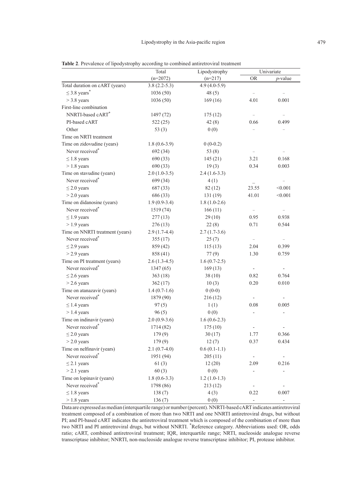|                                 | Total          | Lipodystrophy  |                          | Univariate               |
|---------------------------------|----------------|----------------|--------------------------|--------------------------|
|                                 | $(n=2072)$     | $(n=217)$      | <b>OR</b>                | $p$ -value               |
| Total duration on cART (years)  | $3.8(2.2-5.3)$ | $4.9(4.0-5.9)$ |                          |                          |
| $\leq$ 3.8 years <sup>*</sup>   | 1036(50)       | 48(5)          |                          |                          |
| $>$ 3.8 years                   | 1036(50)       | 169(16)        | 4.01                     | 0.001                    |
| First-line combination          |                |                |                          |                          |
| NNRTI-based cART*               | 1497 (72)      | 175(12)        |                          |                          |
| PI-based cART                   | 522 (25)       | 42(8)          | 0.66                     | 0.499                    |
| Other                           | 53 $(3)$       | 0(0)           |                          |                          |
| Time on NRTI treatment          |                |                |                          |                          |
| Time on zidovudine (years)      | $1.8(0.6-3.9)$ | $0(0-0.2)$     |                          |                          |
| Never received*                 | 692 (34)       | 53 $(8)$       |                          |                          |
| $\leq$ 1.8 years                | 690 (33)       | 145(21)        | 3.21                     | 0.168                    |
| $> 1.8$ years                   | 690 (33)       | 19(3)          | 0.34                     | 0.003                    |
| Time on stavudine (years)       | $2.0(1.0-3.5)$ | $2.4(1.6-3.3)$ |                          |                          |
| Never received*                 | 699 (34)       | 4(1)           |                          |                          |
| $\leq$ 2.0 years                | 687 (33)       | 82 (12)        | 23.55                    | < 0.001                  |
| $>$ 2.0 years                   | 686 (33)       | 131 (19)       | 41.01                    | < 0.001                  |
| Time on didanosine (years)      | $1.9(0.9-3.4)$ | $1.8(1.0-2.6)$ |                          |                          |
| Never received*                 | 1519 (74)      | 166(11)        | $\overline{\phantom{a}}$ |                          |
| $\leq$ 1.9 years                | 277(13)        | 29(10)         | 0.95                     | 0.938                    |
| $> 1.9$ years                   | 276(13)        | 22(8)          | 0.71                     | 0.544                    |
| Time on NNRTI treatment (years) | $2.9(1.7-4.4)$ | $2.7(1.7-3.6)$ |                          |                          |
| Never received*                 | 355(17)        | 25(7)          | $\overline{\phantom{a}}$ |                          |
| $\leq$ 2.9 years                | 859 (42)       | 115(13)        | 2.04                     | 0.399                    |
| $>$ 2.9 years                   | 858 (41)       | 77(9)          | 1.30                     | 0.759                    |
| Time on PI treatment (years)    | $2.6(1.3-4.5)$ | $1.6(0.7-2.5)$ |                          |                          |
| Never received*                 | 1347(65)       | 169(13)        | $\blacksquare$           |                          |
| $\leq$ 2.6 years                | 363(18)        | 38(10)         | 0.82                     | 0.764                    |
| $>$ 2.6 years                   | 362(17)        | 10(3)          | 0.20                     | 0.010                    |
| Time on atanazavir (years)      | $1.4(0.7-1.6)$ | $0(0-0)$       |                          |                          |
| Never received*                 | 1879 (90)      | 216(12)        |                          |                          |
| $\leq$ 1.4 years                | 97(5)          | 1(1)           | 0.08                     | 0.005                    |
| $> 1.4$ years                   | 96(5)          | 0(0)           |                          |                          |
| Time on indinavir (years)       | $2.0(0.9-3.6)$ | $1.6(0.6-2.3)$ |                          |                          |
| Never received*                 | 1714 (82)      | 175(10)        |                          |                          |
| $\leq$ 2.0 years                | 179(9)         | 30(17)         | 1.77                     | 0.366                    |
| $>$ 2.0 years                   | 179(9)         | 12(7)          | 0.37                     | 0.434                    |
| Time on nelfinavir (years)      | $2.1(0.7-4.0)$ | $0.6(0.1-1.1)$ |                          |                          |
| Never received*                 | 1951 (94)      | 205(11)        |                          | $\overline{\phantom{0}}$ |
| $\leq$ 2.1 years                | 61(3)          | 12(20)         | 2.09                     | 0.216                    |
| $>$ 2.1 years                   | 60(3)          | 0(0)           |                          |                          |
| Time on lopinavir (years)       | $1.8(0.6-3.3)$ | $1.2(1.0-1.3)$ |                          |                          |
| Never received*                 | 1798 (86)      | 213(12)        |                          |                          |
| $\leq$ 1.8 years                | 138(7)         | 4(3)           | 0.22                     | 0.007                    |
| $> 1.8$ years                   | 136(7)         | 0(0)           |                          | ÷                        |

**Table 2**. Prevalence of lipodystrophy according to combined antiretroviral treatment

Data are expressed as median (interquartile range) or number (percent). NNRTI-based cART indicates antiretroviral treatment composed of a combination of more than two NRTI and one NNRTI antiretroviral drugs, but without PI; and PI-based cART indicates the antiretroviral treatment which is composed of the combination of more than two NRTI and PI antiretroviral drugs, but without NNRTI. \* Reference category. Abbreviations used: OR, odds ratio; cART, combined antiretroviral treatment; IQR, interquartile range; NRTI, nucleoside analogue reverse transcriptase inhibitor; NNRTI, non-nucleoside analogue reverse transcriptase inhibitor; PI, protease inhibitor.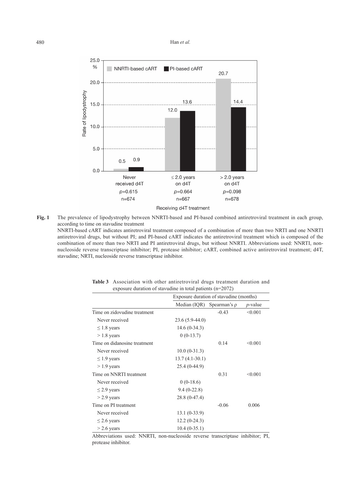#### 480 Han *et al.*



**Fig. 1** The prevalence of lipodystrophy between NNRTI-based and PI-based combined antiretroviral treatment in each group, according to time on stavudine treatment NNRTI-based cART indicates antiretroviral treatment composed of a combination of more than two NRTI and one NNRTI antiretroviral drugs, but without PI; and PI-based cART indicates the antiretroviral treatment which is composed of the combination of more than two NRTI and PI antiretroviral drugs, but without NNRTI. Abbreviations used: NNRTI, nonnucleoside reverse transcriptase inhibitor; PI, protease inhibitor; cART, combined active antiretroviral treatment; d4T, stavudine; NRTI, nucleoside reverse transcriptase inhibitor.

|                              | Exposure duration of stavudine (months) |                                |            |
|------------------------------|-----------------------------------------|--------------------------------|------------|
|                              |                                         | Median (IQR) Spearman's $\rho$ | $p$ -value |
| Time on zidovudine treatment |                                         | $-0.43$                        | < 0.001    |
| Never received               | $23.6(5.9-44.0)$                        |                                |            |
| $\leq$ 1.8 years             | $14.6(0-34.3)$                          |                                |            |
| $> 1.8$ years                | $0(0-13.7)$                             |                                |            |
| Time on didanosine treatment |                                         | 0.14                           | < 0.001    |
| Never received               | $10.0(0-31.3)$                          |                                |            |
| $\leq$ 1.9 years             | $13.7(4.1-30.1)$                        |                                |            |
| $> 1.9$ years                | $25.4(0-44.9)$                          |                                |            |
| Time on NNRTI treatment      |                                         | 0.31                           | < 0.001    |
| Never received               | $0(0-18.6)$                             |                                |            |
| $\leq$ 2.9 years             | $9.4(0-22.8)$                           |                                |            |
| $>$ 2.9 years                | 28.8 (0-47.4)                           |                                |            |
| Time on PI treatment         |                                         | $-0.06$                        | 0.006      |
| Never received               | $13.1(0-33.9)$                          |                                |            |
| $\leq$ 2.6 years             | $12.2(0-24.3)$                          |                                |            |
| $>$ 2.6 years                | $10.4(0-35.1)$                          |                                |            |

**Table 3** Association with other antiretroviral drugs treatment duration and exposure duration of stavudine in total patients (n=2072)

Abbreviations used: NNRTI, non-nucleoside reverse transcriptase inhibitor; PI, protease inhibitor.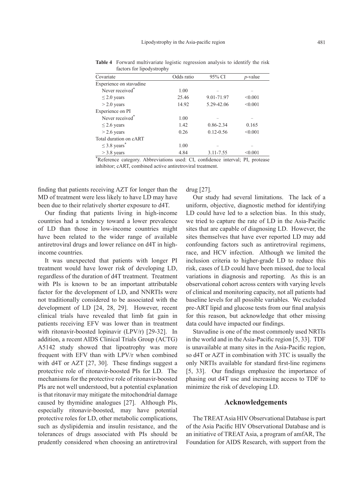| Covariate                     | Odds ratio | 95% CI        | $p$ -value |  |
|-------------------------------|------------|---------------|------------|--|
| Experience on stavudine       |            |               |            |  |
| Never received <sup>*</sup>   | 1.00       |               |            |  |
| $\leq$ 2.0 years              | 25.46      | 9.01-71.97    | < 0.001    |  |
| $>$ 2.0 years                 | 14.92      | 5.29-42.06    | < 0.001    |  |
| Experience on PI              |            |               |            |  |
| Never received <sup>*</sup>   | 1.00       |               |            |  |
| $\leq$ 2.6 years              | 1.42       | 0.86-2.34     | 0.165      |  |
| $>$ 2.6 years                 | 0.26       | $0.12 - 0.56$ | < 0.001    |  |
| Total duration on cART        |            |               |            |  |
| $\leq$ 3.8 years <sup>*</sup> | 1.00       |               |            |  |
| $>$ 3.8 years                 | 4.84       | 3.11-7.55     | < 0.001    |  |

**Table 4** Forward multivariate logistic regression analysis to identify the risk factors for lipodystrophy

\* Reference category. Abbreviations used: CI, confidence interval; PI, protease inhibitor; cART, combined active antiretroviral treatment.

finding that patients receiving AZT for longer than the MD of treatment were less likely to have LD may have been due to their relatively shorter exposure to d4T.

Our finding that patients living in high-income countries had a tendency toward a lower prevalence of LD than those in low-income countries might have been related to the wider range of available antiretroviral drugs and lower reliance on d4T in highincome countries.

It was unexpected that patients with longer PI treatment would have lower risk of developing LD, regardless of the duration of d4T treatment. Treatment with PIs is known to be an important attributable factor for the development of LD, and NNRTIs were not traditionally considered to be associated with the development of LD [24, 28, 29]. However, recent clinical trials have revealed that limb fat gain in patients receiving EFV was lower than in treatment with ritonavir-boosted lopinavir (LPV/r) [29-32]. In addition, a recent AIDS Clinical Trials Group (ACTG) A5142 study showed that lipoatrophy was more frequent with EFV than with LPV/r when combined with d4T or AZT [27, 30]. These findings suggest a protective role of ritonavir-boosted PIs for LD. The mechanisms for the protective role of ritonavir-boosted PIs are not well understood, but a potential explanation is that ritonavir may mitigate the mitochondrial damage caused by thymidine analogues [27]. Although PIs, especially ritonavir-boosted, may have potential protective roles for LD, other metabolic complications, such as dyslipidemia and insulin resistance, and the tolerances of drugs associated with PIs should be prudently considered when choosing an antiretroviral

drug [27].

Our study had several limitations. The lack of a uniform, objective, diagnostic method for identifying LD could have led to a selection bias. In this study, we tried to capture the rate of LD in the Asia-Pacific sites that are capable of diagnosing LD. However, the sites themselves that have ever reported LD may add confounding factors such as antiretroviral regimens, race, and HCV infection. Although we limited the inclusion criteria to higher-grade LD to reduce this risk, cases of LD could have been missed, due to local variations in diagnosis and reporting. As this is an observational cohort across centers with varying levels of clinical and monitoring capacity, not all patients had baseline levels for all possible variables. We excluded pre-ART lipid and glucose tests from our final analysis for this reason, but acknowledge that other missing data could have impacted our findings.

Stavudine is one of the most commonly used NRTIs in the world and in the Asia-Pacific region [5, 33]. TDF is unavailable at many sites in the Asia-Pacific region, so d4T or AZT in combination with 3TC is usually the only NRTIs available for standard first-line regimens [5, 33]. Our findings emphasize the importance of phasing out d4T use and increasing access to TDF to minimize the risk of developing LD.

## **Acknowledgements**

The TREAT Asia HIV Observational Database is part of the Asia Pacific HIV Observational Database and is an initiative of TREAT Asia, a program of amfAR, The Foundation for AIDS Research, with support from the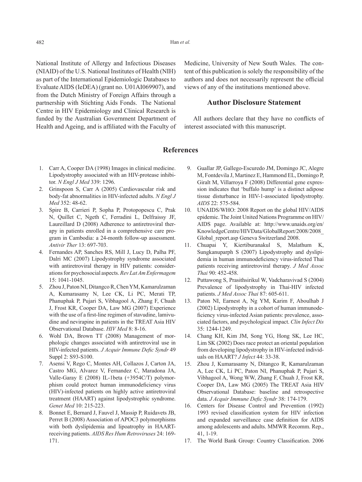National Institute of Allergy and Infectious Diseases (NIAID) of the U.S. National Institutes of Health (NIH) as part of the International Epidemiologic Databases to Evaluate AIDS (IeDEA) (grant no. U01AI069907), and from the Dutch Ministry of Foreign Affairs through a partnership with Stichting Aids Fonds. The National Centre in HIV Epidemiology and Clinical Research is funded by the Australian Government Department of Health and Ageing, and is affiliated with the Faculty of Medicine, University of New South Wales. The content of this publication is solely the responsibility of the authors and does not necessarily represent the official views of any of the institutions mentioned above.

# **Author Disclosure Statement**

 All authors declare that they have no conflicts of interest associated with this manuscript.

# **References**

- 1. Carr A, Cooper DA (1998) Images in clinical medicine. Lipodystrophy associated with an HIV-protease inhibitor. *N Engl J Med* 339: 1296.
- 2. Grinspoon S, Carr A (2005) Cardiovascular risk and body-fat abnormalities in HIV-infected adults. *N Engl J Med* 352: 48-62.
- 3. Spire B, Carrieri P, Sopha P, Protopopescu C, Prak N, Quillet C, Ngeth C, Ferradini L, Delfraissy JF, Laureillard D (2008) Adherence to antiretroviral therapy in patients enrolled in a comprehensive care program in Cambodia: a 24-month follow-up assessment. *Antivir Ther* 13: 697-703.
- 4. Fernandes AP, Sanches RS, Mill J, Lucy D, Palha PF, Dalri MC (2007) Lipodystrophy syndrome associated with antiretroviral therapy in HIV patients: considerations for psychosocial aspects. *Rev Lat Am Enfermagem* 15: 1041-1045.
- 5. Zhou J, Paton NI, Ditangco R, Chen YM, Kamarulzaman A, Kumarasamy N, Lee CK, Li PC, Merati TP, Phanuphak P, Pujari S, Vibhagool A, Zhang F, Chuah J, Frost KR, Cooper DA, Law MG (2007) Experience with the use of a first-line regimen of stavudine, lamivudine and nevirapine in patients in the TREAT Asia HIV Observational Database. *HIV Med* 8: 8-16.
- 6. Wohl DA, Brown TT (2008) Management of morphologic changes associated with antiretroviral use in HIV-infected patients. *J Acquir Immune Defic Syndr* 49 Suppl 2: S93-S100.
- 7. Asensi V, Rego C, Montes AH, Collazos J, Carton JA, Castro MG, Alvarez V, Fernandez C, Maradona JA, Valle-Garay E (2008) IL-1beta (+3954C/T) polymorphism could protect human immunodeficiency virus (HIV)-infected patients on highly active antiretroviral treatment (HAART) against lipodystrophic syndrome. *Genet Med* 10: 215-223.
- 8. Bonnet E, Bernard J, Fauvel J, Massip P, Ruidavets JB, Perret B (2008) Association of APOC3 polymorphisms with both dyslipidemia and lipoatrophy in HAARTreceiving patients. *AIDS Res Hum Retroviruses* 24: 169- 171.
- 9. Guallar JP, Gallego-Escuredo JM, Domingo JC, Alegre M, Fontdevila J, Martinez E, Hammond EL, Domingo P, Giralt M, Villarroya F (2008) Differential gene expression indicates that 'buffalo hump' is a distinct adipose tissue disturbance in HIV-1-associated lipodystrophy. *AIDS* 22: 575-584.
- 10. UNAIDS/WHO: 2008 Report on the global HIV/AIDS epidemic. The Joint United Nations Programme on HIV/ AIDS page. Available at: http://www.unaids.org/en/ KnowledgeCentre/HIVData/GlobalReport/2008/2008\_ Global report.asp Geneva Switzerland 2008.
- 11. Chuapai Y, Kiertiburanakul S, Malathum K, Sungkanuparph S (2007) Lipodystrophy and dyslipidemia in human immunodeficiency virus-infected Thai patients receiving antiretroviral therapy. *J Med Assoc Thai* 90: 452-458.
- 12. Puttawong S, Prasithsirikul W, Vadcharavivad S (2004) Prevalence of lipodystrophy in Thai-HIV infected patients. *J Med Assoc Thai* 87: 605-611.
- 13. Paton NI, Earnest A, Ng YM, Karim F, Aboulhab J (2002) Lipodystrophy in a cohort of human immunodeficiency virus-infected Asian patients: prevalence, associated factors, and psychological impact. *Clin Infect Dis* 35: 1244-1249.
- 14. Chang KH, Kim JM, Song YG, Hong SK, Lee HC, Lim SK (2002) Does race protect an oriental population from developing lipodystrophy in HIV-infected individuals on HAART? *J Infect* 44: 33-38.
- 15. Zhou J, Kumarasamy N, Ditangco R, Kamarulzaman A, Lee CK, Li PC, Paton NI, Phanuphak P, Pujari S, Vibhagool A, Wong WW, Zhang F, Chuah J, Frost KR, Cooper DA, Law MG (2005) The TREAT Asia HIV Observational Database: baseline and retrospective data. *J Acquir Immune Defic Syndr* 38: 174-179.
- 16. Centers for Disease Control and Prevention (1992) 1993 revised classification system for HIV infection and expanded surveillance case definition for AIDS among adolescents and adults. MMWR Recomm. Rep., 41, 1-19.
- 17. The World Bank Group: Country Classification. 2006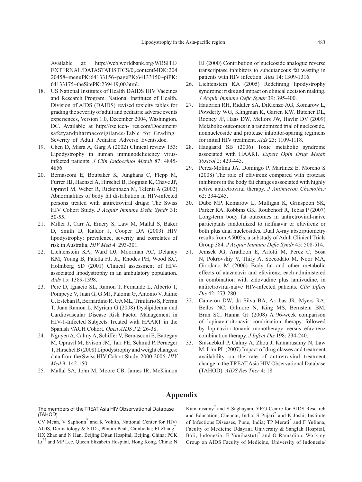Available at: http://web.worldbank.org/WBSITE/ EXTERNAL/DATASTATISTICS/0,,contentMDK:204 20458~menuPK:64133156~pagePK:64133150~piPK: 64133175~theSitePK:239419,00.html.

- 18. US National Institutes of Health DAIDS HIV Vaccines and Research Program. National Institutes of Health. Division of AIDS (DAIDS) revised toxicity tables for grading the severity of adult and pediatric adverse events experiences, Version 1.0, December 2004, Washington. DC. Available at http://rsc.tech- res.com/Document/ safetyandpharmacovigilance/Table for Grading Severity of Adult Pediatric Adverse Events.doc.
- 19. Chen D, Misra A, Garg A (2002) Clinical review 153: Lipodystrophy in human immunodeficiency virusinfected patients. *J Clin Endocrinol Metab* 87: 4845- 4856.
- 20. Bernasconi E, Boubaker K, Junghans C, Flepp M, Furrer HJ, Haensel A, Hirschel B, Boggian K, Chave JP, Opravil M, Weber R, Rickenbach M, Telenti A (2002) Abnormalities of body fat distribution in HIV-infected persons treated with antiretroviral drugs: The Swiss HIV Cohort Study. *J Acquir Immune Defic Syndr* 31: 50-55.
- 21. Miller J, Carr A, Emery S, Law M, Mallal S, Baker D, Smith D, Kaldor J, Cooper DA (2003) HIV lipodystrophy: prevalence, severity and correlates of risk in Australia. *HIV Med* 4: 293-301.
- 22. Lichtenstein KA, Ward DJ, Moorman AC, Delaney KM, Young B, Palella FJ, Jr., Rhodes PH, Wood KC, Holmberg SD (2001) Clinical assessment of HIVassociated lipodystrophy in an ambulatory population. *Aids* 15: 1389-1398.
- 23. Pere D, Ignacio SL, Ramon T, Fernando L, Alberto T, Pompeyo V, Juan G, G MJ, Paloma G, Antonio V, Jaime C, Esteban R, Bernardino R, GA ML, Trinitario S, Ferran T, Juan Ramon L, Myriam G (2008) Dyslipidemia and Cardiovascular Disease Risk Factor Management in HIV-1-Infected Subjects Treated with HAART in the Spanish VACH Cohort. *Open AIDS J* 2: 26-38.
- 24. Nguyen A, Calmy A, Schiffer V, Bernasconi E, Battegay M, Opravil M, Evison JM, Tarr PE, Schmid P, Perneger T, Hirschel B (2008) Lipodystrophy and weight changes: data from the Swiss HIV Cohort Study, 2000-2006. *HIV Med* 9: 142-150.
- 25. Mallal SA, John M, Moore CB, James IR, McKinnon

EJ (2000) Contribution of nucleoside analogue reverse transcriptase inhibitors to subcutaneous fat wasting in patients with HIV infection. *Aids* 14: 1309-1316.

- 26. Lichtenstein KA (2005) Redefining lipodystrophy syndrome: risks and impact on clinical decision making. *J Acquir Immune Defic Syndr* 39: 395-400.
- 27. Haubrich RH, Riddler SA, DiRienzo AG, Komarow L, Powderly WG, Klingman K, Garren KW, Butcher DL, Rooney JF, Haas DW, Mellors JW, Havlir DV (2009) Metabolic outcomes in a randomized trial of nucleoside, nonnucleoside and protease inhibitor-sparing regimens for initial HIV treatment. *Aids* 23: 1109-1118.
- 28. Haugaard SB (2006) Toxic metabolic syndrome associated with HAART. *Expert Opin Drug Metab Toxicol* 2: 429-445.
- 29. Perez-Molina JA, Domingo P, Martinez E, Moreno S (2008) The role of efavirenz compared with protease inhibitors in the body fat changes associated with highly active antiretroviral therapy. *J Antimicrob Chemother* 62: 234-245.
- 30. Dube MP, Komarow L, Mulligan K, Grinspoon SK, Parker RA, Robbins GK, Roubenoff R, Tebas P (2007) Long-term body fat outcomes in antiretroviral-naive participants randomized to nelfinavir or efavirenz or both plus dual nucleosides. Dual X-ray absorptiometry results from A5005s, a substudy of Adult Clinical Trials Group 384. *J Acquir Immune Defic Syndr* 45: 508-514.
- 31. Jemsek JG, Arathoon E, Arlotti M, Perez C, Sosa N, Pokrovskiy V, Thiry A, Soccodato M, Noor MA, Giordano M (2006) Body fat and other metabolic effects of atazanavir and efavirenz, each administered in combination with zidovudine plus lamivudine, in antiretroviral-naive HIV-infected patients. *Clin Infect Dis* 42: 273-280.
- 32. Cameron DW, da Silva BA, Arribas JR, Myers RA, Bellos NC, Gilmore N, King MS, Bernstein BM, Brun SC, Hanna GJ (2008) A 96-week comparison of lopinavir-ritonavir combination therapy followed by lopinavir-ritonavir monotherapy versus efavirenz combination therapy. *J Infect Dis* 198: 234-240.
- 33. Srasuebkul P, Calmy A, Zhou J, Kumarasamy N, Law M, Lim PL (2007) Impact of drug classes and treatment availability on the rate of antiretroviral treatment change in the TREAT Asia HIV Observational Database (TAHOD). *AIDS Res Ther* 4: 18.

## **Appendix**

The members of the TREAT Asia HIV Observational Database (TAHOD)

CV Mean, V Saphonn\* and K Vohith, National Center for HIV/ AIDS, Dermatology & STDs, Phnom Penh, Cambodia; FJ Zhang\* , HX Zhao and N Han, Beijing Ditan Hospital, Beijing, China; PCK Li<sup>\*†</sup> and MP Lee, Queen Elizabeth Hospital, Hong Kong, China; N

Kumarasamy\* and S Saghayam, YRG Centre for AIDS Research and Education, Chennai, India; S Pujari\* and K Joshi, Institute of Infectious Diseases, Pune, India; TP Merati\* and F Yuliana, Faculty of Medicine Udayana University & Sanglah Hospital, Bali, Indonesia; E Yunihastuti<sup>\*</sup> and O Ramadian, Working Group on AIDS Faculty of Medicine, University of Indonesia/